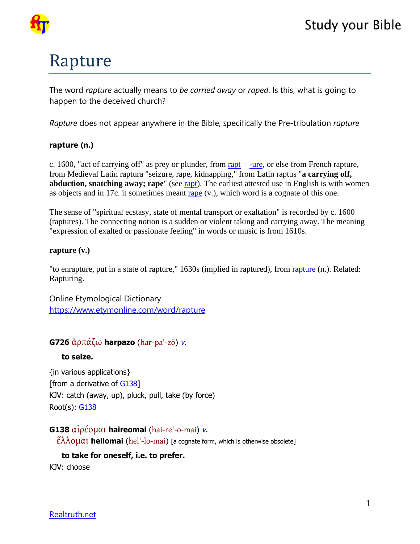

# **Study your Bible**

# Rapture

The word *rapture* actually means to *be carried away* or *raped*. Is this, what is going to happen to the deceived church?

*Rapture* does not appear anywhere in the Bible, specifically the Pre-tribulation *rapture*

#### **rapture (n.)**

c. 1600, "act of carrying off" as prey or plunder, from [rapt](https://www.etymonline.com/word/rapt?ref=etymonline_crossreference)  $+$  [-ure](https://www.etymonline.com/word/-ure?ref=etymonline_crossreference), or else from French rapture, from Medieval Latin raptura "seizure, rape, kidnapping," from Latin raptus "**a carrying off, abduction, snatching away; rape**" (see [rapt](https://www.etymonline.com/word/rapt?ref=etymonline_crossreference)). The earliest attested use in English is with women as objects and in 17c. it sometimes meant [rape](https://www.etymonline.com/word/rape?ref=etymonline_crossreference#etymonline_v_3356) (v.), which word is a cognate of this one.

The sense of "spiritual ecstasy, state of mental transport or exaltation" is recorded by c. 1600 (raptures). The connecting notion is a sudden or violent taking and carrying away. The meaning "expression of exalted or passionate feeling" in words or music is from 1610s.

#### **rapture (v.)**

"to enrapture, put in a state of rapture," 1630s (implied in raptured), from rapture (n.). Related: Rapturing.

Online Etymological Dictionary <https://www.etymonline.com/word/rapture>

## **G726** ἁρπάζω **harpazo** (har-pa'-zō) v.

#### **to seize.**

{in various applications} [from a derivative of G138] KJV: catch (away, up), pluck, pull, take (by force) Root(s): G138

#### **G138** αἱρέομαι **haireomai** (hai-re'-o-mai) v.

ἕλλομαι **hellomai** (hel'-lo-mai) [a cognate form, which is otherwise obsolete]

#### **to take for oneself, i.e. to prefer.**

KJV: choose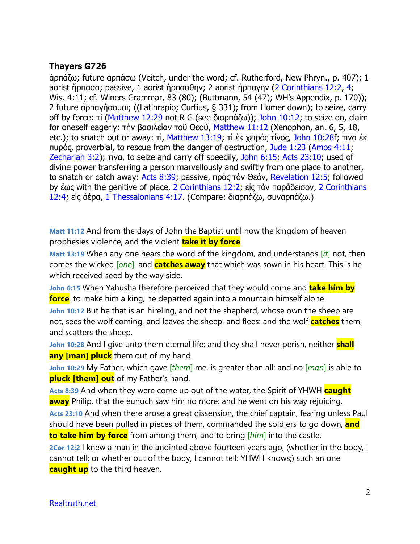#### **Thayers G726**

ἁρπάζω; future ἁρπάσω (Veitch, under the word; cf. Rutherford, New Phryn., p. 407); 1 aorist ἥρπασα; passive, 1 aorist ἡρπασθην; 2 aorist ἡρπαγην (2 Corinthians 12:2, 4; Wis. 4:11; cf. Winers Grammar, 83 (80); (Buttmann, 54 (47); WH's Appendix, p. 170)); 2 future ἁρπαγήσομαι; ((Latinrapio; Curtius, § 331); from Homer down); to seize, carry off by force: τί (Matthew 12:29 not R G (see διαρπάζω)); John 10:12; to seize on, claim for oneself eagerly: τήν βασιλείαν τοῦ Θεοῦ, Matthew 11:12 (Xenophon, an. 6, 5, 18, etc.); to snatch out or away: τί, Matthew 13:19; τί έκ χειρός τίνος, John 10:28f; τινα έκ πυρός, proverbial, to rescue from the danger of destruction, Jude 1:23 (Amos 4:11; Zechariah 3:2); τινα, to seize and carry off speedily, John 6:15; Acts 23:10; used of divine power transferring a person marvellously and swiftly from one place to another, to snatch or catch away: Acts 8:39; passive, πρός τόν Θεόν, Revelation 12:5; followed by ἕως with the genitive of place, 2 Corinthians 12:2; εἰς τόν παράδεισον, 2 Corinthians 12:4; εἰς ἀέρα, 1 Thessalonians 4:17. (Compare: διαρπάζω, συναρπάζω.)

**Matt 11:12** And from the days of John the Baptist until now the kingdom of heaven prophesies violence, and the violent **take it by force**.

**Matt 13:19** When any one hears the word of the kingdom, and understands [*it*] not, then comes the wicked [*one*], and **catches away** that which was sown in his heart. This is he which received seed by the way side.

**John 6:15** When Yahusha therefore perceived that they would come and **take him by force**, to make him a king, he departed again into a mountain himself alone.

**John 10:12** But he that is an hireling, and not the shepherd, whose own the sheep are not, sees the wolf coming, and leaves the sheep, and flees: and the wolf **catches** them, and scatters the sheep.

**John 10:28** And I give unto them eternal life; and they shall never perish, neither **shall any [man] pluck** them out of my hand.

**John 10:29** My Father, which gave [*them*] me, is greater than all; and no [*man*] is able to **pluck [them] out** of my Father's hand.

**Acts 8:39** And when they were come up out of the water, the Spirit of YHWH **caught away** Philip, that the eunuch saw him no more: and he went on his way rejoicing.

**Acts 23:10** And when there arose a great dissension, the chief captain, fearing unless Paul should have been pulled in pieces of them, commanded the soldiers to go down, **and to take him by force** from among them, and to bring [*him*] into the castle.

**2Cor 12:2** I knew a man in the anointed above fourteen years ago, (whether in the body, I cannot tell; or whether out of the body, I cannot tell: YHWH knows;) such an one **caught up** to the third heaven.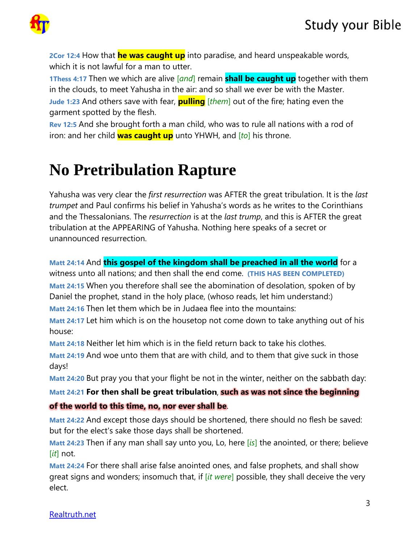

**2Cor 12:4** How that **he was caught up** into paradise, and heard unspeakable words, which it is not lawful for a man to utter.

**1Thess 4:17** Then we which are alive [*and*] remain **shall be caught up** together with them in the clouds, to meet Yahusha in the air: and so shall we ever be with the Master. **Jude 1:23** And others save with fear, **pulling** [*them*] out of the fire; hating even the garment spotted by the flesh.

**Rev 12:5** And she brought forth a man child, who was to rule all nations with a rod of iron: and her child **was caught up** unto YHWH, and [*to*] his throne.

# **No Pretribulation Rapture**

Yahusha was very clear the *first resurrection* was AFTER the great tribulation. It is the *last trumpet* and Paul confirms his belief in Yahusha's words as he writes to the Corinthians and the Thessalonians. The *resurrection* is at the *last trump*, and this is AFTER the great tribulation at the APPEARING of Yahusha. Nothing here speaks of a secret or unannounced resurrection.

**Matt 24:14** And **this gospel of the kingdom shall be preached in all the world** for a witness unto all nations; and then shall the end come. **(THIS HAS BEEN COMPLETED) Matt 24:15** When you therefore shall see the abomination of desolation, spoken of by Daniel the prophet, stand in the holy place, (whoso reads, let him understand:) **Matt 24:16** Then let them which be in Judaea flee into the mountains:

**Matt 24:17** Let him which is on the housetop not come down to take anything out of his house:

**Matt 24:18** Neither let him which is in the field return back to take his clothes.

**Matt 24:19** And woe unto them that are with child, and to them that give suck in those days!

**Matt 24:20** But pray you that your flight be not in the winter, neither on the sabbath day:

**Matt 24:21 For then shall be great tribulation**, **such as was not since the beginning** 

### **of the world to this time, no, nor ever shall be**.

**Matt 24:22** And except those days should be shortened, there should no flesh be saved: but for the elect's sake those days shall be shortened.

**Matt 24:23** Then if any man shall say unto you, Lo, here [*is*] the anointed, or there; believe [*it*] not.

**Matt 24:24** For there shall arise false anointed ones, and false prophets, and shall show great signs and wonders; insomuch that, if [*it were*] possible, they shall deceive the very elect.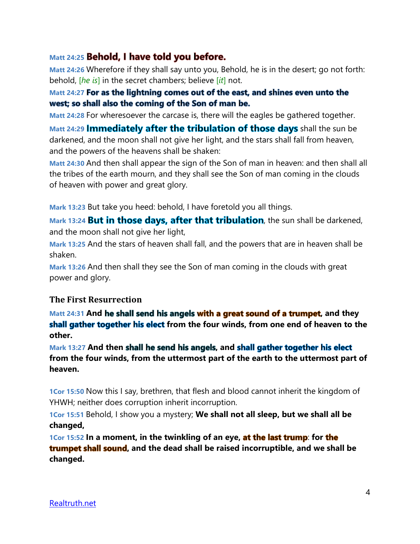### Matt 24:25 **Behold, I have told you before.**

**Matt 24:26** Wherefore if they shall say unto you, Behold, he is in the desert; go not forth: behold, [*he is*] in the secret chambers; believe [*it*] not.

#### Matt 24:27 For as the lightning comes out of the east, and shines even unto the west; so shall also the coming of the Son of man be.

**Matt 24:28** For wheresoever the carcase is, there will the eagles be gathered together.

**Matt 24:29 Immediately after the tribulation of those days shall the sun be** darkened, and the moon shall not give her light, and the stars shall fall from heaven, and the powers of the heavens shall be shaken:

**Matt 24:30** And then shall appear the sign of the Son of man in heaven: and then shall all the tribes of the earth mourn, and they shall see the Son of man coming in the clouds of heaven with power and great glory.

**Mark 13:23** But take you heed: behold, I have foretold you all things.

**Mark 13:24 But in those days, after that tribulation**, the sun shall be darkened, and the moon shall not give her light,

**Mark 13:25** And the stars of heaven shall fall, and the powers that are in heaven shall be shaken.

**Mark 13:26** And then shall they see the Son of man coming in the clouds with great power and glory.

#### **The First Resurrection**

**Matt 24:31 And he shall send his angels with a great sound of a trumpet, and they** shall gather together his elect from the four winds, from one end of heaven to the **other.**

Mark 13:27 And then shall he send his angels, and shall gather together his elect **from the four winds, from the uttermost part of the earth to the uttermost part of heaven.**

**1Cor 15:50** Now this I say, brethren, that flesh and blood cannot inherit the kingdom of YHWH; neither does corruption inherit incorruption.

**1Cor 15:51** Behold, I show you a mystery; **We shall not all sleep, but we shall all be changed,**

**1Cor 15:52 In a moment, in the twinkling of an eye, at the last trump: for the trumpet shall sound,** and the dead shall be raised incorruptible, and we shall be **changed.**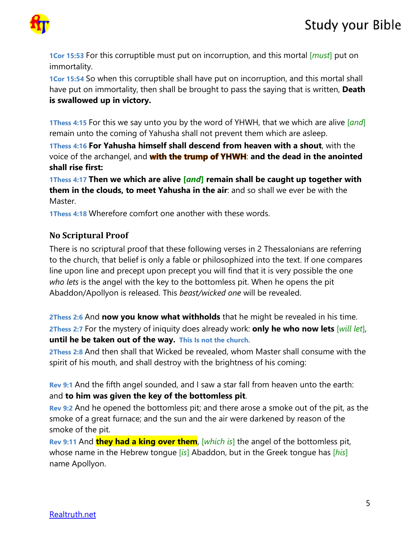

**1Cor 15:53** For this corruptible must put on incorruption, and this mortal [*must*] put on immortality.

**1Cor 15:54** So when this corruptible shall have put on incorruption, and this mortal shall have put on immortality, then shall be brought to pass the saying that is written, **Death is swallowed up in victory.**

**1Thess 4:15** For this we say unto you by the word of YHWH, that we which are alive [*and*] remain unto the coming of Yahusha shall not prevent them which are asleep.

**1Thess 4:16 For Yahusha himself shall descend from heaven with a shout**, with the voice of the archangel, and **with the trump of YHWH**: and the dead in the anointed **shall rise first:**

**1Thess 4:17 Then we which are alive [***and***] remain shall be caught up together with them in the clouds, to meet Yahusha in the air**: and so shall we ever be with the **Master** 

**1Thess 4:18** Wherefore comfort one another with these words.

### **No Scriptural Proof**

There is no scriptural proof that these following verses in 2 Thessalonians are referring to the church, that belief is only a fable or philosophized into the text. If one compares line upon line and precept upon precept you will find that it is very possible the one *who lets* is the angel with the key to the bottomless pit. When he opens the pit Abaddon/Apollyon is released. This *beast/wicked one* will be revealed.

**2Thess 2:6** And **now you know what withholds** that he might be revealed in his time. **2Thess 2:7** For the mystery of iniquity does already work: **only he who now lets** [*will let*], **until he be taken out of the way. This Is not the church.** 

**2Thess 2:8** And then shall that Wicked be revealed, whom Master shall consume with the spirit of his mouth, and shall destroy with the brightness of his coming:

**Rev 9:1** And the fifth angel sounded, and I saw a star fall from heaven unto the earth: and **to him was given the key of the bottomless pit**.

**Rev 9:2** And he opened the bottomless pit; and there arose a smoke out of the pit, as the smoke of a great furnace; and the sun and the air were darkened by reason of the smoke of the pit.

**Rev 9:11** And **they had a king over them**, [*which is*] the angel of the bottomless pit, whose name in the Hebrew tongue [*is*] Abaddon, but in the Greek tongue has [*his*] name Apollyon.